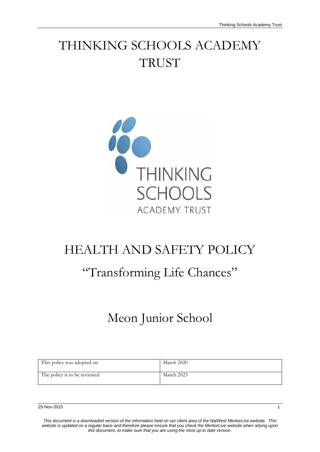# THINKING SCHOOLS ACADEMY **TRUST**



# HEALTH AND SAFETY POLICY

# "Transforming Life Chances"

# Meon Junior School

| This policy was adopted on   | March 2020 |
|------------------------------|------------|
| The policy is to be reviewed | March 2023 |

*This document is a downloaded version of the information held on our client area of the NatWest MentorLive website. This website is updated on a regular basis and therefore please ensure that you check the MentorLive website when relying upon this document, to make sure that you are using the most up to date version.*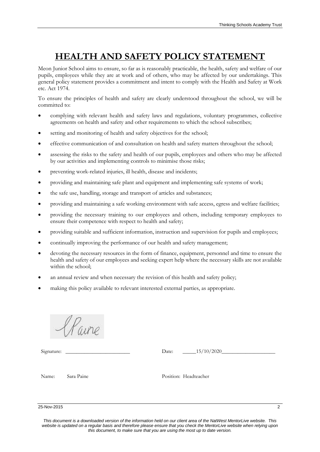# **HEALTH AND SAFETY POLICY STATEMENT**

Meon Junior School aims to ensure, so far as is reasonably practicable, the health, safety and welfare of our pupils, employees while they are at work and of others, who may be affected by our undertakings. This general policy statement provides a commitment and intent to comply with the Health and Safety at Work etc. Act 1974.

To ensure the principles of health and safety are clearly understood throughout the school, we will be committed to:

- complying with relevant health and safety laws and regulations, voluntary programmes, collective agreements on health and safety and other requirements to which the school subscribes;
- setting and monitoring of health and safety objectives for the school;
- effective communication of and consultation on health and safety matters throughout the school;
- assessing the risks to the safety and health of our pupils, employees and others who may be affected by our activities and implementing controls to minimise those risks;
- preventing work-related injuries, ill health, disease and incidents;
- providing and maintaining safe plant and equipment and implementing safe systems of work;
- the safe use, handling, storage and transport of articles and substances;
- providing and maintaining a safe working environment with safe access, egress and welfare facilities;
- providing the necessary training to our employees and others, including temporary employees to ensure their competence with respect to health and safety;
- providing suitable and sufficient information, instruction and supervision for pupils and employees;
- continually improving the performance of our health and safety management;
- devoting the necessary resources in the form of finance, equipment, personnel and time to ensure the health and safety of our employees and seeking expert help where the necessary skills are not available within the school;
- an annual review and when necessary the revision of this health and safety policy;
- making this policy available to relevant interested external parties, as appropriate.

Harre

Signature: \_\_\_\_\_\_\_\_\_\_\_\_\_\_\_\_\_\_\_\_\_\_\_\_ Date: \_\_\_\_\_15/10/2020\_\_\_\_\_\_\_\_\_\_\_\_\_\_\_\_\_\_\_\_

Name: Sara Paine Position: Headteacher

25-Nov-2015 2

*This document is a downloaded version of the information held on our client area of the NatWest MentorLive website. This website is updated on a regular basis and therefore please ensure that you check the MentorLive website when relying upon this document, to make sure that you are using the most up to date version.*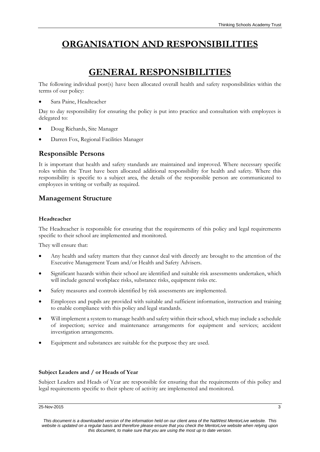# **ORGANISATION AND RESPONSIBILITIES**

# **GENERAL RESPONSIBILITIES**

The following individual post(s) have been allocated overall health and safety responsibilities within the terms of our policy:

Sara Paine, Headteacher

Day to day responsibility for ensuring the policy is put into practice and consultation with employees is delegated to:

- Doug Richards, Site Manager
- Darren Fox, Regional Facilities Manager

## **Responsible Persons**

It is important that health and safety standards are maintained and improved. Where necessary specific roles within the Trust have been allocated additional responsibility for health and safety. Where this responsibility is specific to a subject area, the details of the responsible person are communicated to employees in writing or verbally as required.

## **Management Structure**

### **Headteacher**

The Headteacher is responsible for ensuring that the requirements of this policy and legal requirements specific to their school are implemented and monitored.

They will ensure that:

- Any health and safety matters that they cannot deal with directly are brought to the attention of the Executive Management Team and/or Health and Safety Advisers.
- Significant hazards within their school are identified and suitable risk assessments undertaken, which will include general workplace risks, substance risks, equipment risks etc.
- Safety measures and controls identified by risk assessments are implemented.
- Employees and pupils are provided with suitable and sufficient information, instruction and training to enable compliance with this policy and legal standards.
- Will implement a system to manage health and safety within their school, which may include a schedule of inspection; service and maintenance arrangements for equipment and services; accident investigation arrangements.
- Equipment and substances are suitable for the purpose they are used.

## **Subject Leaders and / or Heads of Year**

Subject Leaders and Heads of Year are responsible for ensuring that the requirements of this policy and legal requirements specific to their sphere of activity are implemented and monitored.

#### 25-Nov-2015 3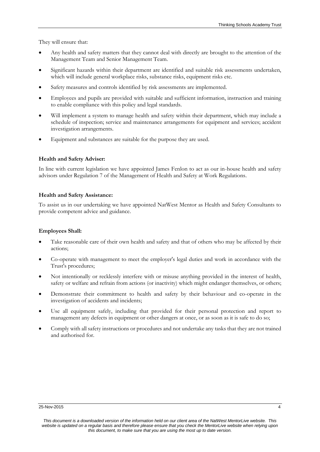They will ensure that:

- Any health and safety matters that they cannot deal with directly are brought to the attention of the Management Team and Senior Management Team.
- Significant hazards within their department are identified and suitable risk assessments undertaken, which will include general workplace risks, substance risks, equipment risks etc.
- Safety measures and controls identified by risk assessments are implemented.
- Employees and pupils are provided with suitable and sufficient information, instruction and training to enable compliance with this policy and legal standards.
- Will implement a system to manage health and safety within their department, which may include a schedule of inspection; service and maintenance arrangements for equipment and services; accident investigation arrangements.
- Equipment and substances are suitable for the purpose they are used.

### **Health and Safety Adviser:**

In line with current legislation we have appointed James Fenlon to act as our in-house health and safety advisors under Regulation 7 of the Management of Health and Safety at Work Regulations.

#### **Health and Safety Assistance:**

To assist us in our undertaking we have appointed NatWest Mentor as Health and Safety Consultants to provide competent advice and guidance.

### **Employees Shall:**

- Take reasonable care of their own health and safety and that of others who may be affected by their actions;
- Co-operate with management to meet the employer's legal duties and work in accordance with the Trust's procedures;
- Not intentionally or recklessly interfere with or misuse anything provided in the interest of health, safety or welfare and refrain from actions (or inactivity) which might endanger themselves, or others;
- Demonstrate their commitment to health and safety by their behaviour and co-operate in the investigation of accidents and incidents;
- Use all equipment safely, including that provided for their personal protection and report to management any defects in equipment or other dangers at once, or as soon as it is safe to do so;
- Comply with all safety instructions or procedures and not undertake any tasks that they are not trained and authorised for.